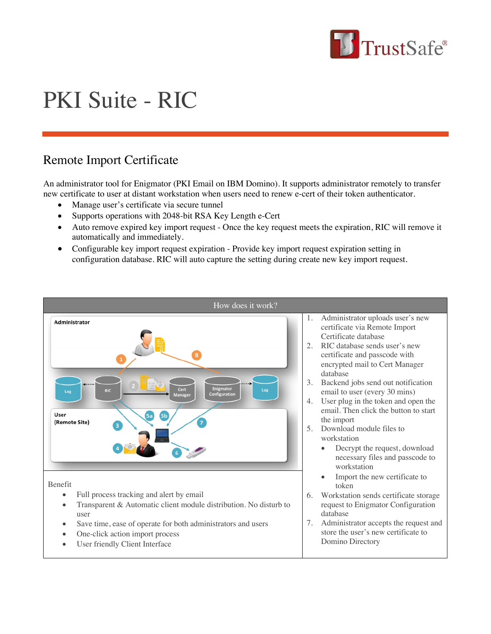

# PKI Suite - RIC

## Remote Import Certificate

An administrator tool for Enigmator (PKI Email on IBM Domino). It supports administrator remotely to transfer new certificate to user at distant workstation when users need to renew e-cert of their token authenticator.

- Manage user's certificate via secure tunnel
- Supports operations with 2048-bit RSA Key Length e-Cert
- Auto remove expired key import request Once the key request meets the expiration, RIC will remove it automatically and immediately.
- Configurable key import request expiration Provide key import request expiration setting in configuration database. RIC will auto capture the setting during create new key import request.